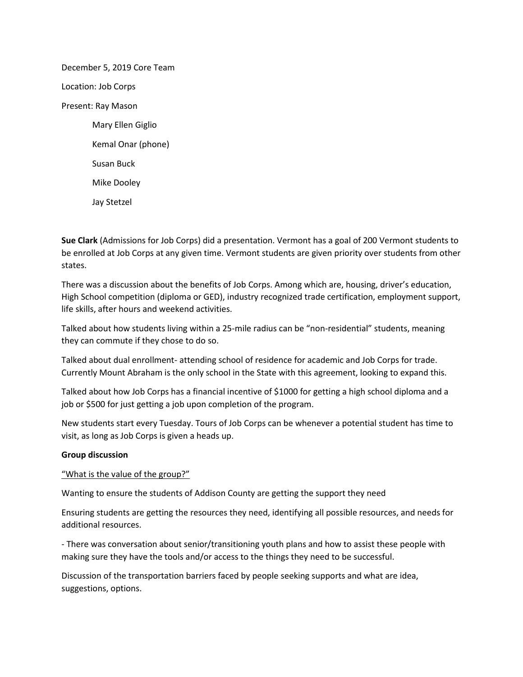December 5, 2019 Core Team Location: Job Corps Present: Ray Mason Mary Ellen Giglio Kemal Onar (phone) Susan Buck Mike Dooley Jay Stetzel

**Sue Clark** (Admissions for Job Corps) did a presentation. Vermont has a goal of 200 Vermont students to be enrolled at Job Corps at any given time. Vermont students are given priority over students from other states.

There was a discussion about the benefits of Job Corps. Among which are, housing, driver's education, High School competition (diploma or GED), industry recognized trade certification, employment support, life skills, after hours and weekend activities.

Talked about how students living within a 25-mile radius can be "non-residential" students, meaning they can commute if they chose to do so.

Talked about dual enrollment- attending school of residence for academic and Job Corps for trade. Currently Mount Abraham is the only school in the State with this agreement, looking to expand this.

Talked about how Job Corps has a financial incentive of \$1000 for getting a high school diploma and a job or \$500 for just getting a job upon completion of the program.

New students start every Tuesday. Tours of Job Corps can be whenever a potential student has time to visit, as long as Job Corps is given a heads up.

## **Group discussion**

"What is the value of the group?"

Wanting to ensure the students of Addison County are getting the support they need

Ensuring students are getting the resources they need, identifying all possible resources, and needs for additional resources.

- There was conversation about senior/transitioning youth plans and how to assist these people with making sure they have the tools and/or access to the things they need to be successful.

Discussion of the transportation barriers faced by people seeking supports and what are idea, suggestions, options.